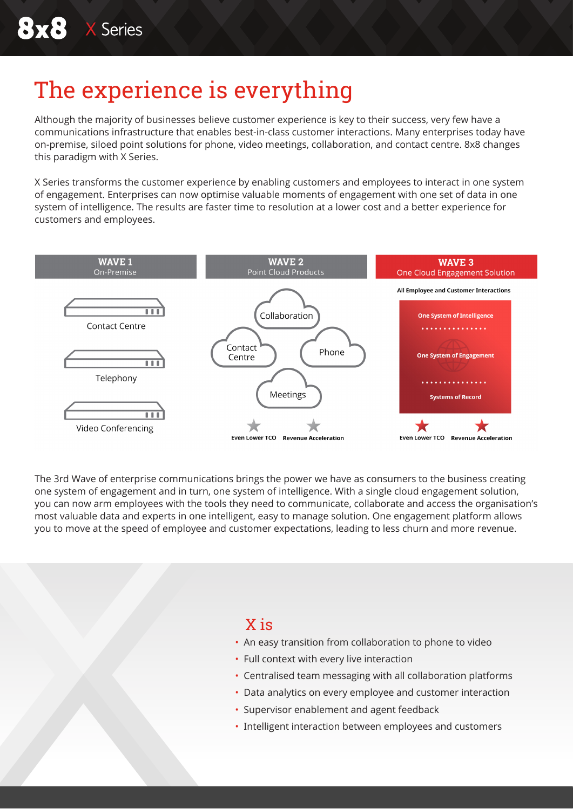# The experience is everything

Although the majority of businesses believe customer experience is key to their success, very few have a communications infrastructure that enables best-in-class customer interactions. Many enterprises today have on-premise, siloed point solutions for phone, video meetings, collaboration, and contact centre. 8x8 changes this paradigm with X Series.

X Series transforms the customer experience by enabling customers and employees to interact in one system of engagement. Enterprises can now optimise valuable moments of engagement with one set of data in one system of intelligence. The results are faster time to resolution at a lower cost and a better experience for customers and employees.



The 3rd Wave of enterprise communications brings the power we have as consumers to the business creating one system of engagement and in turn, one system of intelligence. With a single cloud engagement solution, you can now arm employees with the tools they need to communicate, collaborate and access the organisation's most valuable data and experts in one intelligent, easy to manage solution. One engagement platform allows you to move at the speed of employee and customer expectations, leading to less churn and more revenue.

### X is

- An easy transition from collaboration to phone to video
- Full context with every live interaction
- Centralised team messaging with all collaboration platforms
- Data analytics on every employee and customer interaction
- Supervisor enablement and agent feedback
- Intelligent interaction between employees and customers